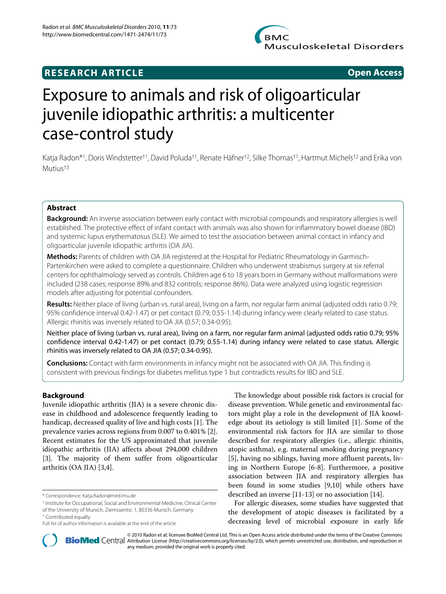

## **RESEARCH ARTICLE Open Access**

# Exposure to animals and risk of oligoarticular juvenile idiopathic arthritis: a multicenter case-control study

Katja Radon\*1, Doris Windstetter†1, David Poluda†1, Renate Häfner†2, Silke Thomas†1, Hartmut Michels†2 and Erika von Mutius†3

## **Abstract**

**Background:** An inverse association between early contact with microbial compounds and respiratory allergies is well established. The protective effect of infant contact with animals was also shown for inflammatory bowel disease (IBD) and systemic lupus erythematosus (SLE). We aimed to test the association between animal contact in infancy and oligoarticular juvenile idiopathic arthritis (OA JIA).

**Methods:** Parents of children with OA JIA registered at the Hospital for Pediatric Rheumatology in Garmisch-Partenkirchen were asked to complete a questionnaire. Children who underwent strabismus surgery at six referral centers for ophthalmology served as controls. Children age 6 to 18 years born in Germany without malformations were included (238 cases; response 89% and 832 controls; response 86%). Data were analyzed using logistic regression models after adjusting for potential confounders.

**Results:** Neither place of living (urban vs. rural area), living on a farm, nor regular farm animal (adjusted odds ratio 0.79; 95% confidence interval 0.42-1.47) or pet contact (0.79; 0.55-1.14) during infancy were clearly related to case status. Allergic rhinitis was inversely related to OA JIA (0.57; 0.34-0.95).

Neither place of living (urban vs. rural area), living on a farm, nor regular farm animal (adjusted odds ratio 0.79; 95% confidence interval 0.42-1.47) or pet contact (0.79; 0.55-1.14) during infancy were related to case status. Allergic rhinitis was inversely related to OA JIA (0.57; 0.34-0.95).

**Conclusions:** Contact with farm environments in infancy might not be associated with OA JIA. This finding is consistent with previous findings for diabetes mellitus type 1 but contradicts results for IBD and SLE.

## **Background**

Juvenile idiopathic arthritis (JIA) is a severe chronic disease in childhood and adolescence frequently leading to handicap, decreased quality of live and high costs [[1\]](#page-7-0). The prevalence varies across regions from 0.007 to 0.401% [\[2](#page-7-1)]. Recent estimates for the US approximated that juvenile idiopathic arthritis (JIA) affects about 294,000 children [[3\]](#page-7-2). The majority of them suffer from oligoarticular arthritis (OA JIA) [\[3](#page-7-2)[,4](#page-7-3)].

The knowledge about possible risk factors is crucial for disease prevention. While genetic and environmental factors might play a role in the development of JIA knowledge about its aetiology is still limited [\[1](#page-7-0)]. Some of the environmental risk factors for JIA are similar to those described for respiratory allergies (i.e., allergic rhinitis, atopic asthma), e.g. maternal smoking during pregnancy [[5\]](#page-7-4), having no siblings, having more affluent parents, living in Northern Europe [\[6](#page-7-5)-[8\]](#page-7-6). Furthermore, a positive association between JIA and respiratory allergies has been found in some studies [\[9](#page-7-7)[,10](#page-7-8)] while others have described an inverse [\[11](#page-7-9)-[13\]](#page-7-10) or no association [\[14](#page-7-11)].

For allergic diseases, some studies have suggested that the development of atopic diseases is facilitated by a decreasing level of microbial exposure in early life



2010 Radon et al; licensee [BioMed](http://www.biomedcentral.com/) Central Ltd. This is an Open Access article distributed under the terms of the Creative Commons (http://creativecommons.org/licenses/by/2.0), which permits unrestricted use, distribution, any medium, provided the original work is properly cited.

<sup>\*</sup> Correspondence: Katja.Radon@med.lmu.de

<sup>1</sup> Institute for Occupational, Social and Environmental Medicine, Clinical Center of the University of Munich, Ziemssentsr. 1, 80336 Munich, Germany

<sup>†</sup> Contributed equally

Full list of author information is available at the end of the article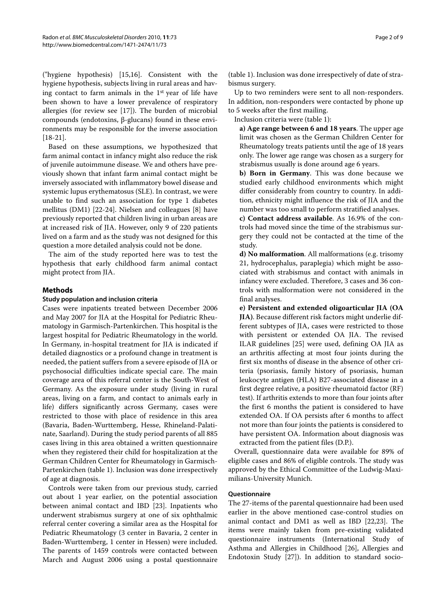("hygiene hypothesis) [\[15](#page-7-12)[,16](#page-7-13)]. Consistent with the hygiene hypothesis, subjects living in rural areas and having contact to farm animals in the 1st year of life have been shown to have a lower prevalence of respiratory allergies (for review see [[17\]](#page-7-14)). The burden of microbial compounds (endotoxins, β-glucans) found in these environments may be responsible for the inverse association [[18-](#page-7-15)[21](#page-8-0)].

Based on these assumptions, we hypothesized that farm animal contact in infancy might also reduce the risk of juvenile autoimmune disease. We and others have previously shown that infant farm animal contact might be inversely associated with inflammatory bowel disease and systemic lupus erythematosus (SLE). In contrast, we were unable to find such an association for type 1 diabetes mellitus (DM1) [[22](#page-8-1)[-24](#page-8-2)]. Nielsen and colleagues [\[8](#page-7-6)] have previously reported that children living in urban areas are at increased risk of JIA. However, only 9 of 220 patients lived on a farm and as the study was not designed for this question a more detailed analysis could not be done.

The aim of the study reported here was to test the hypothesis that early childhood farm animal contact might protect from JIA.

## **Methods**

#### **Study population and inclusion criteria**

Cases were inpatients treated between December 2006 and May 2007 for JIA at the Hospital for Pediatric Rheumatology in Garmisch-Partenkirchen. This hospital is the largest hospital for Pediatric Rheumatology in the world. In Germany, in-hospital treatment for JIA is indicated if detailed diagnostics or a profound change in treatment is needed, the patient suffers from a severe episode of JIA or psychosocial difficulties indicate special care. The main coverage area of this referral center is the South-West of Germany. As the exposure under study (living in rural areas, living on a farm, and contact to animals early in life) differs significantly across Germany, cases were restricted to those with place of residence in this area (Bavaria, Baden-Wurttemberg, Hesse, Rhineland-Palatinate, Saarland). During the study period parents of all 885 cases living in this area obtained a written questionnaire when they registered their child for hospitalization at the German Children Center for Rheumatology in Garmisch-Partenkirchen (table 1). Inclusion was done irrespectively of age at diagnosis.

Controls were taken from our previous study, carried out about 1 year earlier, on the potential association between animal contact and IBD [\[23](#page-8-3)]. Inpatients who underwent strabismus surgery at one of six ophthalmic referral center covering a similar area as the Hospital for Pediatric Rheumatology (3 center in Bavaria, 2 center in Baden-Wurttemberg, 1 center in Hessen) were included. The parents of 1459 controls were contacted between March and August 2006 using a postal questionnaire

(table 1). Inclusion was done irrespectively of date of strabismus surgery.

Up to two reminders were sent to all non-responders. In addition, non-responders were contacted by phone up to 5 weeks after the first mailing.

Inclusion criteria were (table 1):

**a) Age range between 6 and 18 years**. The upper age limit was chosen as the German Children Center for Rheumatology treats patients until the age of 18 years only. The lower age range was chosen as a surgery for strabismus usually is done around age 6 years.

**b) Born in Germany**. This was done because we studied early childhood environments which might differ considerably from country to country. In addition, ethnicity might influence the risk of JIA and the number was too small to perform stratified analyses.

**c) Contact address available**. As 16.9% of the controls had moved since the time of the strabismus surgery they could not be contacted at the time of the study.

**d) No malformation**. All malformations (e.g. trisomy 21, hydrocephalus, paraplegia) which might be associated with strabismus and contact with animals in infancy were excluded. Therefore, 3 cases and 36 controls with malformation were not considered in the final analyses.

**e) Persistent and extended oligoarticular JIA (OA JIA)**. Because different risk factors might underlie different subtypes of JIA, cases were restricted to those with persistent or extended OA JIA. The revised ILAR guidelines [[25](#page-8-4)] were used, defining OA JIA as an arthritis affecting at most four joints during the first six months of disease in the absence of other criteria (psoriasis, family history of psoriasis, human leukocyte antigen (HLA) B27-associated disease in a first degree relative, a positive rheumatoid factor (RF) test). If arthritis extends to more than four joints after the first 6 months the patient is considered to have extended OA. If OA persists after 6 months to affect not more than four joints the patients is considered to have persistent OA. Information about diagnosis was extracted from the patient files (D.P.).

Overall, questionnaire data were available for 89% of eligible cases and 86% of eligible controls. The study was approved by the Ethical Committee of the Ludwig-Maximilians-University Munich.

#### **Questionnaire**

The 27-items of the parental questionnaire had been used earlier in the above mentioned case-control studies on animal contact and DM1 as well as IBD [\[22](#page-8-1)[,23](#page-8-3)]. The items were mainly taken from pre-existing validated questionnaire instruments (International Study of Asthma and Allergies in Childhood [[26\]](#page-8-5), Allergies and Endotoxin Study [[27](#page-8-6)]). In addition to standard socio-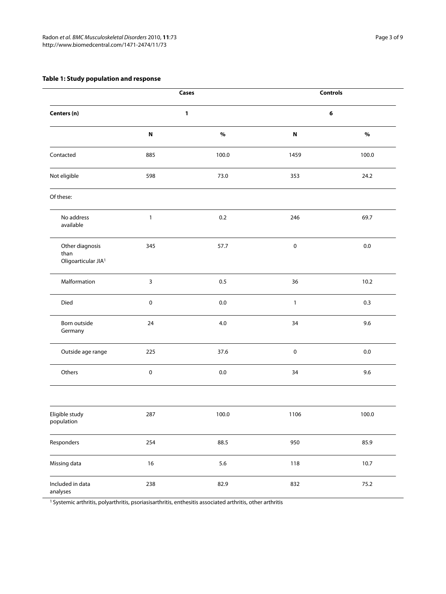## <span id="page-2-0"></span>**Table 1: Study population and response**

| Centers (n)                                                | Cases<br>1   |         | <b>Controls</b><br>6 |          |
|------------------------------------------------------------|--------------|---------|----------------------|----------|
|                                                            |              |         |                      |          |
|                                                            | Contacted    | 885     | 100.0                | 1459     |
| Not eligible                                               | 598          | 73.0    | 353                  | 24.2     |
| Of these:                                                  |              |         |                      |          |
| No address<br>available                                    | $\mathbf{1}$ | $0.2\,$ | 246                  | 69.7     |
| Other diagnosis<br>than<br>Oligoarticular JIA <sup>1</sup> | 345          | 57.7    | $\pmb{0}$            | $0.0\,$  |
| Malformation                                               | $\mathbf{3}$ | 0.5     | 36                   | 10.2     |
| Died                                                       | $\pmb{0}$    | $0.0\,$ | $\mathbf{1}$         | 0.3      |
| Born outside<br>Germany                                    | 24           | $4.0\,$ | 34                   | 9.6      |
| Outside age range                                          | 225          | 37.6    | $\pmb{0}$            | $0.0\,$  |
| Others                                                     | $\pmb{0}$    | $0.0\,$ | 34                   | 9.6      |
| Eligible study<br>population                               | 287          | 100.0   | 1106                 | 100.0    |
| Responders                                                 | 254          | 88.5    | 950                  | 85.9     |
| Missing data                                               | $16$         | 5.6     | 118                  | 10.7     |
| Included in data<br>analyses                               | 238          | 82.9    | 832                  | $75.2\,$ |

1 Systemic arthritis, polyarthritis, psoriasisarthritis, enthesitis associated arthritis, other arthritis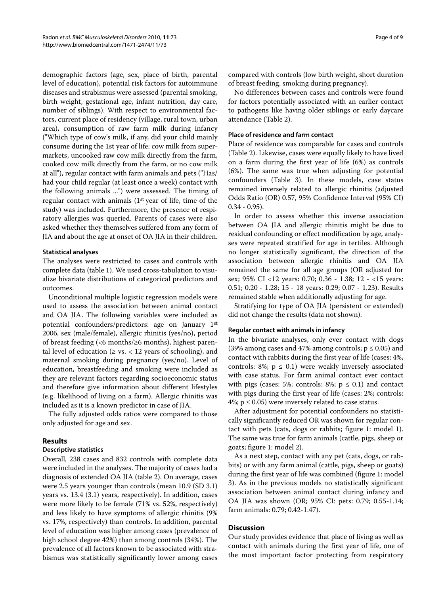demographic factors (age, sex, place of birth, parental level of education), potential risk factors for autoimmune diseases and strabismus were assessed (parental smoking, birth weight, gestational age, infant nutrition, day care, number of siblings). With respect to environmental factors, current place of residency (village, rural town, urban area), consumption of raw farm milk during infancy ("Which type of cow's milk, if any, did your child mainly consume during the 1st year of life: cow milk from supermarkets, uncooked raw cow milk directly from the farm, cooked cow milk directly from the farm, or no cow milk at all"), regular contact with farm animals and pets ("Has/ had your child regular (at least once a week) contact with the following animals ...") were assessed. The timing of regular contact with animals  $(1<sup>st</sup>$  year of life, time of the study) was included. Furthermore, the presence of respiratory allergies was queried. Parents of cases were also asked whether they themselves suffered from any form of JIA and about the age at onset of OA JIA in their children.

### **Statistical analyses**

The analyses were restricted to cases and controls with complete data (table [1](#page-2-0)). We used cross-tabulation to visualize bivariate distributions of categorical predictors and outcomes.

Unconditional multiple logistic regression models were used to assess the association between animal contact and OA JIA. The following variables were included as potential confounders/predictors: age on January 1st 2006, sex (male/female), allergic rhinitis (yes/no), period of breast feeding (<6 months/≥6 months), highest parental level of education ( $\ge$  vs. < 12 years of schooling), and maternal smoking during pregnancy (yes/no). Level of education, breastfeeding and smoking were included as they are relevant factors regarding socioeconomic status and therefore give information about different lifestyles (e.g. likelihood of living on a farm). Allergic rhinitis was included as it is a known predictor in case of JIA.

The fully adjusted odds ratios were compared to those only adjusted for age and sex.

## **Results**

## **Descriptive statistics**

Overall, 238 cases and 832 controls with complete data were included in the analyses. The majority of cases had a diagnosis of extended OA JIA (table 2). On average, cases were 2.5 years younger than controls (mean 10.9 (SD 3.1) years vs. 13.4 (3.1) years, respectively). In addition, cases were more likely to be female (71% vs. 52%, respectively) and less likely to have symptoms of allergic rhinitis (9% vs. 17%, respectively) than controls. In addition, parental level of education was higher among cases (prevalence of high school degree 42%) than among controls (34%). The prevalence of all factors known to be associated with strabismus was statistically significantly lower among cases

compared with controls (low birth weight, short duration of breast feeding, smoking during pregnancy).

No differences between cases and controls were found for factors potentially associated with an earlier contact to pathogens like having older siblings or early daycare attendance (Table 2).

### **Place of residence and farm contact**

Place of residence was comparable for cases and controls (Table 2). Likewise, cases were equally likely to have lived on a farm during the first year of life (6%) as controls (6%). The same was true when adjusting for potential confounders (Table 3). In these models, case status remained inversely related to allergic rhinitis (adjusted Odds Ratio (OR) 0.57, 95% Confidence Interval (95% CI) 0.34 - 0.95).

In order to assess whether this inverse association between OA JIA and allergic rhinitis might be due to residual confounding or effect modification by age, analyses were repeated stratified for age in tertiles. Although no longer statistically significant, the direction of the association between allergic rhinitis and OA JIA remained the same for all age groups (OR adjusted for sex; 95% CI <12 years: 0.70; 0.36 - 1.38; 12 - <15 years: 0.51; 0.20 - 1.28; 15 - 18 years: 0.29; 0.07 - 1.23). Results remained stable when additionally adjusting for age.

Stratifying for type of OA JIA (persistent or extended) did not change the results (data not shown).

#### **Regular contact with animals in infancy**

In the bivariate analyses, only ever contact with dogs (39% among cases and 47% among controls;  $p \le 0.05$ ) and contact with rabbits during the first year of life (cases: 4%, controls: 8%;  $p \le 0.1$ ) were weakly inversely associated with case status. For farm animal contact ever contact with pigs (cases: 5%; controls: 8%;  $p \le 0.1$ ) and contact with pigs during the first year of life (cases: 2%; controls: 4%;  $p \le 0.05$ ) were inversely related to case status.

After adjustment for potential confounders no statistically significantly reduced OR was shown for regular contact with pets (cats, dogs or rabbits; figure [1](#page-7-16): model 1). The same was true for farm animals (cattle, pigs, sheep or goats; figure [1](#page-7-16): model 2).

As a next step, contact with any pet (cats, dogs, or rabbits) or with any farm animal (cattle, pigs, sheep or goats) during the first year of life was combined (figure [1](#page-7-16): model 3). As in the previous models no statistically significant association between animal contact during infancy and OA JIA was shown (OR; 95% CI: pets: 0.79; 0.55-1.14; farm animals: 0.79; 0.42-1.47).

## **Discussion**

Our study provides evidence that place of living as well as contact with animals during the first year of life, one of the most important factor protecting from respiratory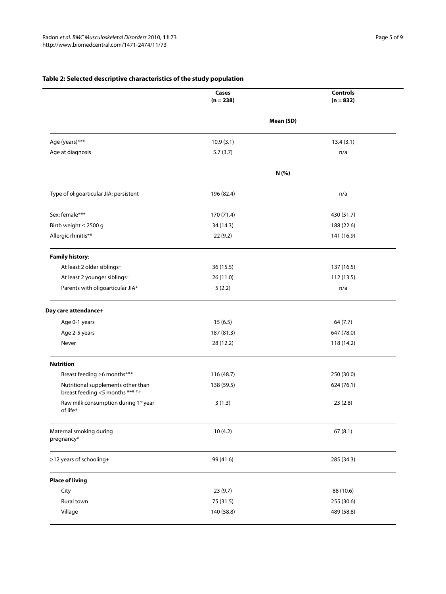## **Table 2: Selected descriptive characteristics of the study population**

|                                                                        | Cases<br>$(n = 238)$ | <b>Controls</b><br>$(n = 832)$ |  |
|------------------------------------------------------------------------|----------------------|--------------------------------|--|
|                                                                        | Mean (SD)            |                                |  |
| Age (years)***                                                         | 10.9(3.1)            | 13.4(3.1)                      |  |
| Age at diagnosis                                                       | 5.7(3.7)             | n/a                            |  |
|                                                                        |                      | N (%)                          |  |
| Type of oligoarticular JIA: persistent                                 | 196 (82.4)           | n/a                            |  |
| Sex: female***                                                         | 170 (71.4)           | 430 (51.7)                     |  |
| Birth weight ≤ 2500 g                                                  | 34 (14.3)            | 188 (22.6)                     |  |
| Allergic rhinitis**                                                    | 22(9.2)              | 141 (16.9)                     |  |
| <b>Family history:</b>                                                 |                      |                                |  |
| At least 2 older siblings+                                             | 36 (15.5)            | 137 (16.5)                     |  |
| At least 2 younger siblings <sup>+</sup>                               | 26 (11.0)            | 112 (13.5)                     |  |
| Parents with oligoarticular JIA+                                       | 5(2.2)               | n/a                            |  |
| Day care attendance+                                                   |                      |                                |  |
| Age 0-1 years                                                          | 15(6.5)              | 64 (7.7)                       |  |
| Age 2-5 years                                                          | 187 (81.3)           | 647 (78.0)                     |  |
| Never                                                                  | 28 (12.2)            | 118 (14.2)                     |  |
| <b>Nutrition</b>                                                       |                      |                                |  |
| Breast feeding ≥6 months***                                            | 116 (48.7)           | 250 (30.0)                     |  |
| Nutritional supplements other than<br>breast feeding <5 months *** #,+ | 138 (59.5)           | 624 (76.1)                     |  |
| Raw milk consumption during 1st year<br>of life <sup>+</sup>           | 3(1.3)               | 23(2.8)                        |  |
| Maternal smoking during<br>pregnancy*                                  | 10(4.2)              | 67(8.1)                        |  |
| ≥12 years of schooling+                                                | 99 (41.6)            | 285 (34.3)                     |  |
| <b>Place of living</b>                                                 |                      |                                |  |
| City                                                                   | 23(9.7)              | 88 (10.6)                      |  |
| Rural town                                                             | 75 (31.5)            | 255 (30.6)                     |  |
| Village                                                                | 140 (58.8)           | 489 (58.8)                     |  |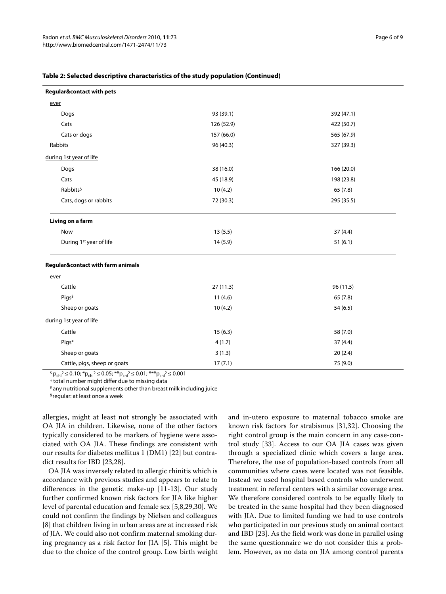| <b>Regular&amp;contact with pets</b> |            |            |
|--------------------------------------|------------|------------|
| ever                                 |            |            |
| Dogs                                 | 93 (39.1)  | 392 (47.1) |
| Cats                                 | 126 (52.9) | 422 (50.7) |
| Cats or dogs                         | 157 (66.0) | 565 (67.9) |
| Rabbits                              | 96 (40.3)  | 327 (39.3) |
| during 1st year of life              |            |            |
| Dogs                                 | 38 (16.0)  | 166(20.0)  |
| Cats                                 | 45 (18.9)  | 198 (23.8) |
| Rabbits <sup>\$</sup>                | 10(4.2)    | 65(7.8)    |
| Cats, dogs or rabbits                | 72 (30.3)  | 295 (35.5) |
| Living on a farm                     |            |            |
| Now                                  | 13(5.5)    | 37(4.4)    |
| During 1st year of life              | 14(5.9)    | 51(6.1)    |
| Regular&contact with farm animals    |            |            |
| ever                                 |            |            |
| Cattle                               | 27(11.3)   | 96 (11.5)  |
| Pigs <sup>\$</sup>                   | 11(4.6)    | 65(7.8)    |
| Sheep or goats                       | 10(4.2)    | 54(6.5)    |
| during 1st year of life              |            |            |
| Cattle                               | 15(6.3)    | 58 (7.0)   |
| Pigs*                                | 4(1.7)     | 37 (4.4)   |
| Sheep or goats                       | 3(1.3)     | 20(2.4)    |
| Cattle, pigs, sheep or goats         | 17(7.1)    | 75 (9.0)   |

## **Table 2: Selected descriptive characteristics of the study population (Continued)**

 $S_{\rm pchi}^2 \le 0.10$ ; \* $p_{\rm chi}^2 \le 0.05$ ; \*\* $p_{\rm chi}^2 \le 0.01$ ; \*\*\* $p_{\rm chi}^2 \le 0.001$ 

+ total number might differ due to missing data

# any nutritional supplements other than breast milk including juice

& reqular: at least once a week

allergies, might at least not strongly be associated with OA JIA in children. Likewise, none of the other factors typically considered to be markers of hygiene were associated with OA JIA. These findings are consistent with our results for diabetes mellitus 1 (DM1) [[22\]](#page-8-1) but contradict results for IBD [[23,](#page-8-3)[28\]](#page-8-7).

OA JIA was inversely related to allergic rhinitis which is accordance with previous studies and appears to relate to differences in the genetic make-up [[11-](#page-7-9)[13](#page-7-10)]. Our study further confirmed known risk factors for JIA like higher level of parental education and female sex [[5,](#page-7-4)[8,](#page-7-6)[29,](#page-8-8)[30\]](#page-8-9). We could not confirm the findings by Nielsen and colleagues [[8\]](#page-7-6) that children living in urban areas are at increased risk of JIA. We could also not confirm maternal smoking during pregnancy as a risk factor for JIA [\[5](#page-7-4)]. This might be due to the choice of the control group. Low birth weight

and in-utero exposure to maternal tobacco smoke are known risk factors for strabismus [\[31](#page-8-10)[,32](#page-8-11)]. Choosing the right control group is the main concern in any case-control study [\[33\]](#page-8-12). Access to our OA JIA cases was given through a specialized clinic which covers a large area. Therefore, the use of population-based controls from all communities where cases were located was not feasible. Instead we used hospital based controls who underwent treatment in referral centers with a similar coverage area. We therefore considered controls to be equally likely to be treated in the same hospital had they been diagnosed with JIA. Due to limited funding we had to use controls who participated in our previous study on animal contact and IBD [\[23](#page-8-3)]. As the field work was done in parallel using the same questionnaire we do not consider this a problem. However, as no data on JIA among control parents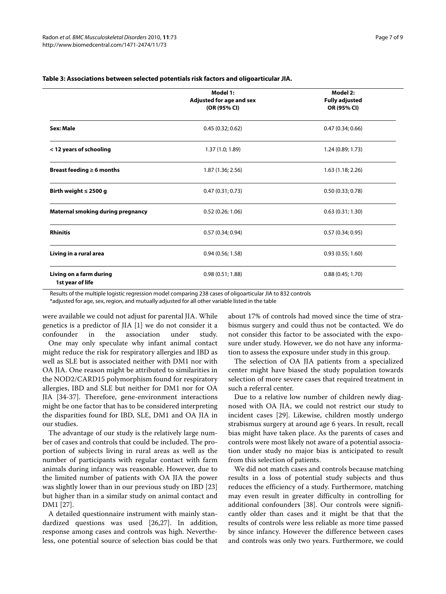|                                             | Model 1:<br>Adjusted for age and sex<br>(OR (95% CI) | Model 2:<br><b>Fully adjusted</b><br>OR (95% CI) |  |
|---------------------------------------------|------------------------------------------------------|--------------------------------------------------|--|
| Sex: Male                                   | 0.45(0.32; 0.62)                                     | 0.47(0.34; 0.66)                                 |  |
| < 12 years of schooling                     | 1.37 (1.0; 1.89)                                     | 1.24 (0.89; 1.73)                                |  |
| Breast feeding $\geq 6$ months              | 1.87 (1.36; 2.56)                                    | 1.63(1.18; 2.26)                                 |  |
| Birth weight $\leq$ 2500 g                  | 0.47(0.31; 0.73)                                     | 0.50(0.33; 0.78)                                 |  |
| <b>Maternal smoking during pregnancy</b>    | 0.52(0.26; 1.06)                                     | 0.63(0.31; 1.30)                                 |  |
| <b>Rhinitis</b>                             | 0.57(0.34; 0.94)                                     | 0.57(0.34; 0.95)                                 |  |
| Living in a rural area                      | 0.94(0.56; 1.58)                                     | 0.93(0.55; 1.60)                                 |  |
| Living on a farm during<br>1st year of life | 0.98(0.51; 1.88)                                     | 0.88(0.45; 1.70)                                 |  |

#### **Table 3: Associations between selected potentials risk factors and oligoarticular JIA.**

Results of the multiple logistic regression model comparing 238 cases of oligoarticular JIA to 832 controls

\*adjusted for age, sex, region, and mutually adjusted for all other variable listed in the table

were available we could not adjust for parental JIA. While genetics is a predictor of JIA [[1\]](#page-7-0) we do not consider it a confounder in the association under study. One may only speculate why infant animal contact might reduce the risk for respiratory allergies and IBD as well as SLE but is associated neither with DM1 nor with OA JIA. One reason might be attributed to similarities in the NOD2/CARD15 polymorphism found for respiratory allergies, IBD and SLE but neither for DM1 nor for OA JIA [[34-](#page-8-13)[37](#page-8-14)]. Therefore, gene-environment interactions might be one factor that has to be considered interpreting the disparities found for IBD, SLE, DM1 and OA JIA in our studies.

The advantage of our study is the relatively large number of cases and controls that could be included. The proportion of subjects living in rural areas as well as the number of participants with regular contact with farm animals during infancy was reasonable. However, due to the limited number of patients with OA JIA the power was slightly lower than in our previous study on IBD [[23](#page-8-3)] but higher than in a similar study on animal contact and DM1 [\[27](#page-8-6)].

A detailed questionnaire instrument with mainly standardized questions was used [[26,](#page-8-5)[27\]](#page-8-6). In addition, response among cases and controls was high. Nevertheless, one potential source of selection bias could be that

about 17% of controls had moved since the time of strabismus surgery and could thus not be contacted. We do not consider this factor to be associated with the exposure under study. However, we do not have any information to assess the exposure under study in this group.

The selection of OA JIA patients from a specialized center might have biased the study population towards selection of more severe cases that required treatment in such a referral center.

Due to a relative low number of children newly diagnosed with OA JIA, we could not restrict our study to incident cases [[29\]](#page-8-8). Likewise, children mostly undergo strabismus surgery at around age 6 years. In result, recall bias might have taken place. As the parents of cases and controls were most likely not aware of a potential association under study no major bias is anticipated to result from this selection of patients.

We did not match cases and controls because matching results in a loss of potential study subjects and thus reduces the efficiency of a study. Furthermore, matching may even result in greater difficulty in controlling for additional confounders [\[38](#page-8-15)]. Our controls were significantly older than cases and it might be that that the results of controls were less reliable as more time passed by since infancy. However the difference between cases and controls was only two years. Furthermore, we could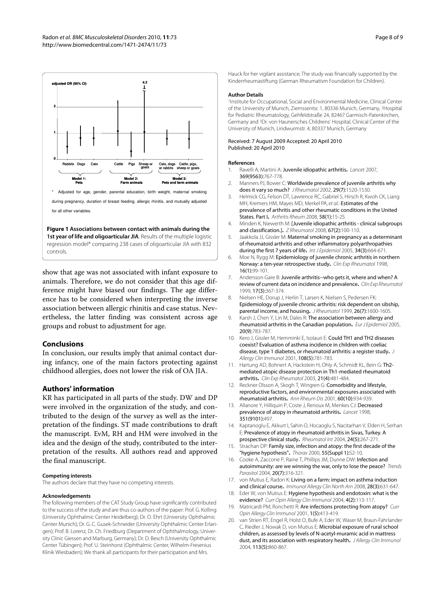<span id="page-7-16"></span>

**Figure 1 Associations between contact with animals during the**  1st year of life and oligoarticular JIA. Results of the multiple logistic regression model\* comparing 238 cases of oligoarticular JIA with 832 controls.

show that age was not associated with infant exposure to animals. Therefore, we do not consider that this age difference might have biased our findings. The age difference has to be considered when interpreting the inverse association between allergic rhinitis and case status. Nevertheless, the latter finding was consistent across age groups and robust to adjustment for age.

#### **Conclusions**

In conclusion, our results imply that animal contact during infancy, one of the main factors protecting against childhood allergies, does not lower the risk of OA JIA.

## **Authors' information**

KR has participated in all parts of the study. DW and DP were involved in the organization of the study, and contributed to the design of the survey as well as the interpretation of the findings. ST made contributions to draft the manuscript. EvM, RH and HM were involved in the idea and the design of the study, contributed to the interpretation of the results. All authors read and approved the final manuscript.

#### **Competing interests**

The authors declare that they have no competing interests.

#### **Acknowledgements**

The following members of the CAT Study Group have significantly contributed to the success of the study and are thus co-authors of the paper: Prof. G. Kolling (University Ophthalmic Center Heidelberg); Dr. O. Ehrt (University Ophthalmic Center Munich); Dr. G. C. Gusek-Schneider (University Ophthalmic Center Erlangen); Prof. B. Lorenz, Dr. Ch. Friedburg (Department of Ophthalmology, University Clinic Giessen and Marburg, Germany); Dr. D. Besch (University Ophthalmic Center Tübingen); Prof. U. Steinhorst (Ophthalmic Center, Wilhelm-Fresenius Klinik Wiesbaden); We thank all participants for their participation and Mrs.

Hauck for her vigilant assistance; The study was financially supported by the Kinderrheumastiftung (German Rheumatism Foundation for Children).

#### **Author Details**

1Institute for Occupational, Social and Environmental Medicine, Clinical Center of the University of Munich, Ziemssentsr. 1, 80336 Munich, Germany, 2Hospital for Pediatric Rheumatology, Gehfeldstraße 24, 82467 Garmisch-Patenkirchen, Germany and 3Dr. von Haunersches Childrens' Hospital, Clinical Center of the University of Munich, Lindwurmstr. 4, 80337 Munich, Germany

#### Received: 7 August 2009 Accepted: 20 April 2010 Published: 20 April 2010

#### **References**

- <span id="page-7-0"></span>1. Ravelli A, Martini A: Juvenile idiopathic arthritis**.** Lancet 2007, 369(9563):767-778.
- <span id="page-7-1"></span>2. Manners PJ, Bower C: Worldwide prevalence of juvenile arthritis why does it vary so much? J Rheumatol 2002, 29(7):1520-1530.
- <span id="page-7-2"></span>3. Helmick CG, Felson DT, Lawrence RC, Gabriel S, Hirsch R, Kwoh CK, Liang MH, Kremers HM, Mayes MD, Merkel PA, et al.: Estimates of the prevalence of arthritis and other rheumatic conditions in the United States. Part I**.** Arthritis Rheum 2008, 58(1):15-25.
- <span id="page-7-3"></span>4. Minden K, Niewerth M: [Juvenile idiopathic arthritis - clinical subgroups and classification.]**.** Z Rheumatol 2008, 67(2):100-110.
- <span id="page-7-4"></span>5. Jaakkola JJ, Gissler M: Maternal smoking in pregnancy as a determinant of rheumatoid arthritis and other inflammatory polyarthropathies during the first 7 years of life**.** Int J Epidemiol 2005, 34(3):664-671.
- <span id="page-7-5"></span>6. Moe N, Rygg M: Epidemiology of juvenile chronic arthritis in northern Norway: a ten-year retrospective study**.** Clin Exp Rheumatol 1998, 16(1):99-101.
- 7. Andersson Gare B: Juvenile arthritis--who gets it, where and when? A review of current data on incidence and prevalence**[.](http://www.ncbi.nlm.nih.gov/entrez/query.fcgi?cmd=Retrieve&db=PubMed&dopt=Abstract&list_uids=10410275)** Clin Exp Rheumatol 1999, 17(3):367-374.
- <span id="page-7-6"></span>8. Nielsen HE, Dorup J, Herlin T, Larsen K, Nielsen S, Pedersen FK: Epidemiology of juvenile chronic arthritis: risk dependent on sibship, parental income, and housing**.** J Rheumatol 1999, 26(7):1600-1605.
- <span id="page-7-7"></span>9. Karsh J, Chen Y, Lin M, Dales R: The association between allergy and rheumatoid arthritis in the Canadian population**.** Eur J Epidemiol 2005, 20(9):783-787.
- <span id="page-7-8"></span>10. Kero J, Gissler M, Hemminki E, Isolauri E: Could TH1 and TH2 diseases coexist? Evaluation of asthma incidence in children with coeliac disease, type 1 diabetes, or rheumatoid arthritis: a register study**.** J Allergy Clin Immunol 2001, 108(5):781-783.
- <span id="page-7-9"></span>11. Hartung AD, Bohnert A, Hackstein H, Ohly A, Schmidt KL, Bein G: Th2 mediated atopic disease protection in Th1-mediated rheumatoid arthritis**.** Clin Exp Rheumatol 2003, 21(4):481-484.
- 12. Reckner Olsson A, Skogh T, Wingren G: Comorbidity and lifestyle, reproductive factors, and environmental exposures associated with rheumatoid arthriti[s](http://www.ncbi.nlm.nih.gov/entrez/query.fcgi?cmd=Retrieve&db=PubMed&dopt=Abstract&list_uids=11557649)**.** Ann Rheum Dis 2001, 60(10):934-939.
- <span id="page-7-10"></span>13. Allanore Y, Hilliquin P, Coste J, Renoux M, Menkes CJ: Decreased prevalence of atopy in rheumatoid arthritis**.** Lancet 1998, 351(9101):497.
- <span id="page-7-11"></span>14. Kaptanoglu E, Akkurt I, Sahin O, Hocaoglu S, Nacitarhan V, Elden H, Serhan E: Prevalence of atopy in rheumatoid arthritis in Sivas, Turkey. A prospective clinical study**[.](http://www.ncbi.nlm.nih.gov/entrez/query.fcgi?cmd=Retrieve&db=PubMed&dopt=Abstract&list_uids=14523571)** Rheumatol Int 2004, 24(5):267-271.
- <span id="page-7-12"></span>15. Strachan DP: Family size, infection and atopy: the first decade of the "hygiene hypothesis"**.** Thorax 2000, 55(Suppl 1):S2-10.
- <span id="page-7-13"></span>16. Cooke A, Zaccone P, Raine T, Phillips JM, Dunne DW: Infection and autoimmunity: are we winning the war, only to lose the peace? Trends Parasitol 2004, 20(7):316-321.
- <span id="page-7-14"></span>17. von Mutius E, Radon K: Living on a farm: impact on asthma induction and clinical course**.** Immunol Allergy Clin North Am 2008, 28(3):631-647.
- <span id="page-7-15"></span>18. Eder W, von Mutius E: Hygiene hypothesis and endotoxin: what is the evidence? Curr Opin Allergy Clin Immunol 2004, 4(2):113-117.
- 19. Matricardi PM, Ronchetti R: Are infections protecting from atopy? Curr Opin Allergy Clin Immunol 2001, 1(5):413-419.
- 20. van Strien RT, Engel R, Holst O, Bufe A, Eder W, Waser M, Braun-Fahrlander C, Riedler J, Nowak D, von Mutius E: Microbial exposure of rural school children, as assessed by levels of N-acetyl-muramic acid in mattress dust, and its association with respiratory health**.** J Allergy Clin Immunol 2004, 113(5):860-867.